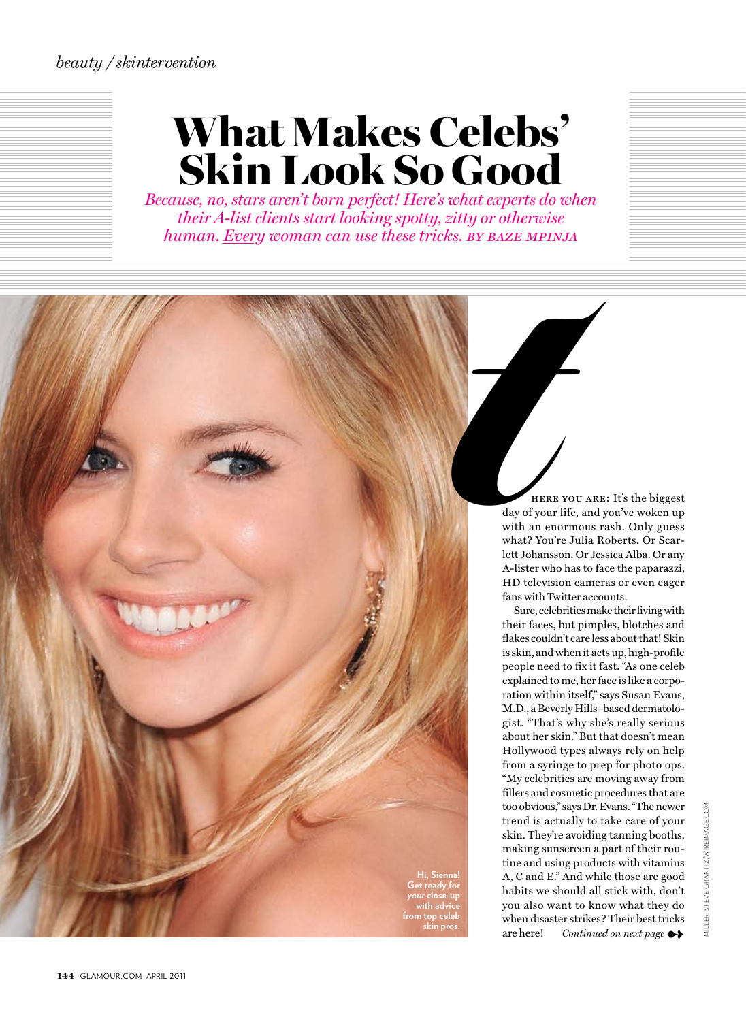# What Makes Celebs' Skin Look So Good

*Because, no, stars aren't born perfect! Here's what experts do when their A-list clients start looking spotty, zitty or otherwise human. Every woman can use these tricks. by baze mpinja*

 here you are: It's the biggest day of your life, and you've woken up with an enormous rash. Only guess what? You're Julia Roberts. Or Scarlett Johansson. Or Jessica Alba. Or any A-lister who has to face the paparazzi, HD television cameras or even eager fans with Twitter accounts. ty or otherwise<br>
BY BAZE MPIN<br>
HERE<br>
day of your l<br>
with an eno<br>
what? You'r<br>
lett Johanssc<br>
A-lister who<br>
HD televisid<br>
fans with Tw

Sure, celebrities make their living with their faces, but pimples, blotches and flakes couldn't care less about that! Skin is skin, and when it acts up, high-profile people need to fix it fast. "As one celeb explained to me, her face is like a corporation within itself," says Susan Evans, M.D., a Beverly Hills–based dermatologist. "That's why she's really serious about her skin." But that doesn't mean Hollywood types always rely on help from a syringe to prep for photo ops. "My celebrities are moving away from fillers and cosmetic procedures that are too obvious," says Dr. Evans. "The newer trend is actually to take care of your skin. They're avoiding tanning booths, making sunscreen a part of their routine and using products with vitamins A, C and E." And while those are good habits we should all stick with, don't you also want to know what they do when disaster strikes? Their best tricks are here! *Continued on next page* 

**Hi, Sienna! Get ready for**  *your* **close-up with advice from top celeb**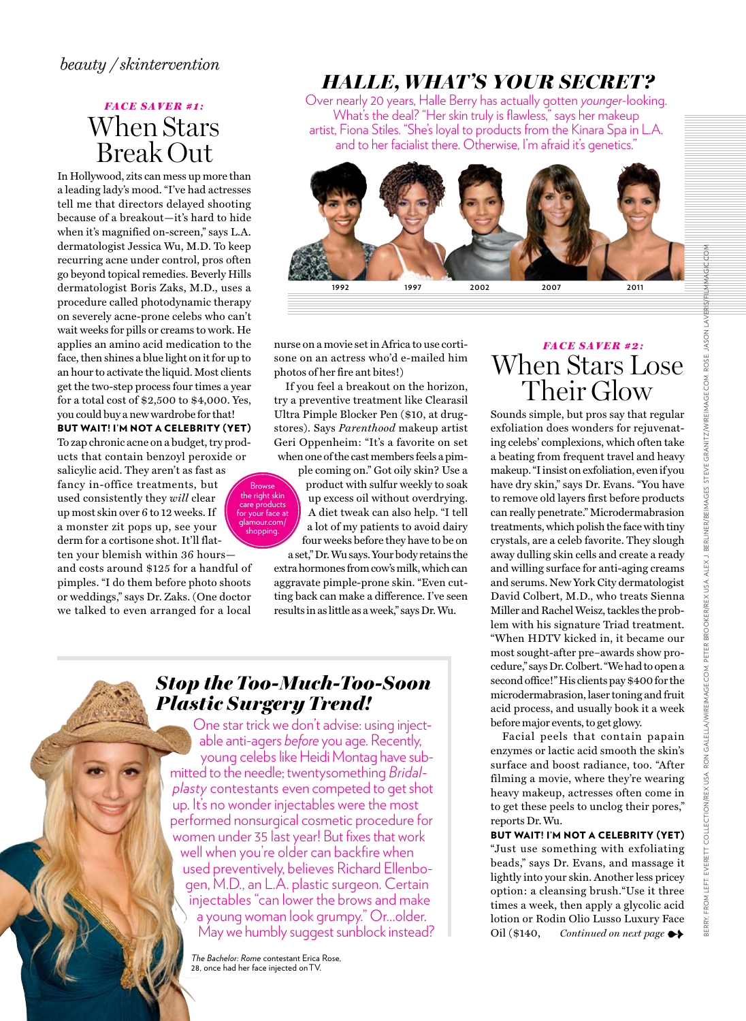#### *beauty / skintervention*

# *FACE SAVER #1:* When Stars Break Out

In Hollywood, zits can mess up more than a leading lady's mood. "I've had actresses tell me that directors delayed shooting because of a breakout—it's hard to hide when it's magnified on-screen," says L.A. dermatologist Jessica Wu, M.D. To keep recurring acne under control, pros often go beyond topical remedies. Beverly Hills dermatologist Boris Zaks, M.D., uses a procedure called photodynamic therapy on severely acne-prone celebs who can't wait weeks for pills or creams to work. He applies an amino acid medication to the face, then shines a blue light on it for up to an hour to activate the liquid. Most clients get the two-step process four times a year for a total cost of \$2,500 to \$4,000. Yes, you could buy a new wardrobe for that!

but wait! I'm not a celebrity (yet) To zap chronic acne on a budget, try products that contain benzoyl peroxide or

salicylic acid. They aren't as fast as fancy in-office treatments, but used consistently they *will* clear up most skin over 6 to 12 weeks. If a monster zit pops up, see your derm for a cortisone shot. It'll flatten your blemish within 36 hours—

and costs around \$125 for a handful of pimples. "I do them before photo shoots or weddings," says Dr. Zaks. (One doctor we talked to even arranged for a local

# *Halle, What's your secret?*

Over nearly 20 years, Halle Berry has actually gotten *younger*-looking. What's the deal? "Her skin truly is flawless," says her makeup artist, Fiona Stiles. "She's loyal to products from the Kinara Spa in L.A. and to her facialist there. Otherwise, I'm afraid it's genetics."



nurse on a movie set in Africa to use cortisone on an actress who'd e-mailed him photos of her fire ant bites!)

If you feel a breakout on the horizon, try a preventive treatment like Clearasil Ultra Pimple Blocker Pen (\$10, at drugstores). Says *Parenthood* makeup artist Geri Oppenheim: "It's a favorite on set when one of the cast members feels a pim-

ple coming on." Got oily skin? Use a product with sulfur weekly to soak up excess oil without overdrying. A diet tweak can also help. "I tell a lot of my patients to avoid dairy four weeks before they have to be on a set," Dr. Wu says. Your body retains the

extra hormones from cow's milk, which can aggravate pimple-prone skin. "Even cutting back can make a difference. I've seen results in as little as a week," says Dr. Wu.

### *Stop the Too-Much-Too-Soon Plastic Surgery Trend!*

Browse<br>the right skin care products for your face at glamour.com/ shopping.

One star trick we don't advise: using injectable anti-agers *before* you age. Recently, young celebs like Heidi Montag have submitted to the needle; twentysomething *Bridalplasty* contestants even competed to get shot up. It's no wonder injectables were the most performed nonsurgical cosmetic procedure for women under 35 last year! But fixes that work well when you're older can backfire when used preventively, believes Richard Ellenbogen, M.D., an L.A. plastic surgeon. Certain injectables "can lower the brows and make a young woman look grumpy." Or…older. May we humbly suggest sunblock instead?

*The Bachelor: Rome* contestant Erica Rose, 28, once had her face injected on TV

# *FACE SAVER # 2 :* When Stars Lose Their Glow Sounds simple, but pros say that regular

exfoliation does wonders for rejuvenating celebs' complexions, which often take a beating from frequent travel and heavy makeup. "I insist on exfoliation, even if you have dry skin," says Dr. Evans. "You have to remove old layers first before products can really penetrate." Microdermabrasion treatments, which polish the face with tiny crystals, are a celeb favorite. They slough away dulling skin cells and create a ready and willing surface for anti-aging creams and serums. New York City dermatologist David Colbert, M.D., who treats Sienna Miller and Rachel Weisz, tackles the problem with his signature Triad treatment. "When HDTV kicked in, it became our most sought-after pre–awards show procedure," says Dr. Colbert. "We had to open a second office!" His clients pay \$400 for the microdermabrasion, laser toning and fruit acid process, and usually book it a week before major events, to get glowy.

Facial peels that contain papain enzymes or lactic acid smooth the skin's surface and boost radiance, too. "After filming a movie, where they're wearing heavy makeup, actresses often come in to get these peels to unclog their pores," reports Dr. Wu.

but wait! I'm not a celebrity (yet) "Just use something with exfoliating beads," says Dr. Evans, and massage it lightly into your skin. Another less pricey option: a cleansing brush."Use it three times a week, then apply a glycolic acid lotion or Rodin Olio Lusso Luxury Face Oil (\$140, *Continued on next page* ➻